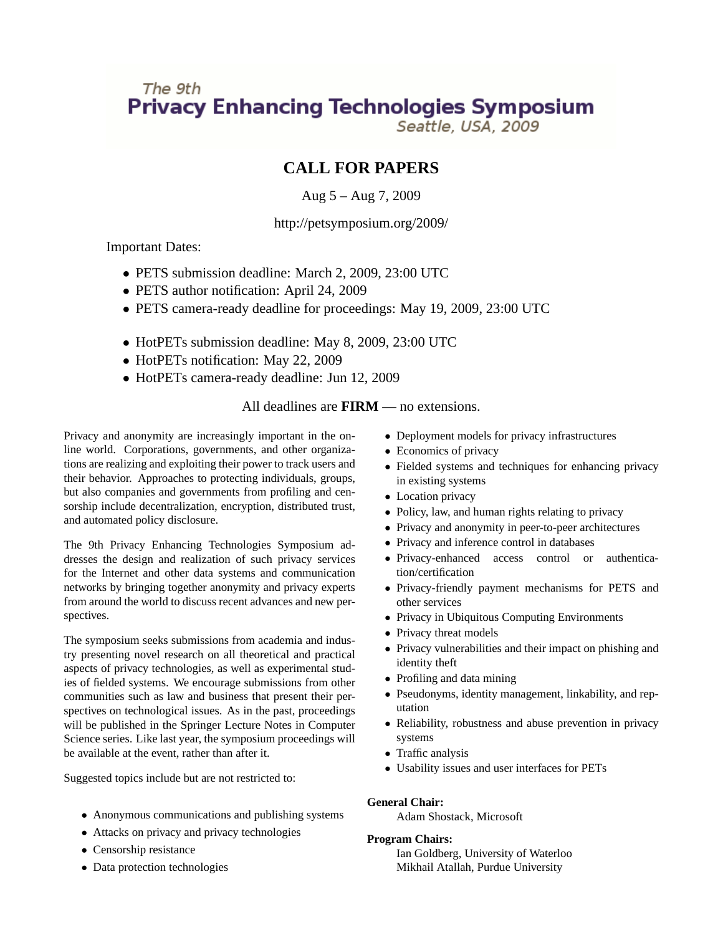# The 9th **Privacy Enhancing Technologies Symposium**

Seattle, USA, 2009

## **CALL FOR PAPERS**

## Aug 5 – Aug 7, 2009

### http://petsymposium.org/2009/

Important Dates:

- PETS submission deadline: March 2, 2009, 23:00 UTC
- PETS author notification: April 24, 2009
- PETS camera-ready deadline for proceedings: May 19, 2009, 23:00 UTC
- HotPETs submission deadline: May 8, 2009, 23:00 UTC
- HotPETs notification: May 22, 2009
- HotPETs camera-ready deadline: Jun 12, 2009

## All deadlines are **FIRM** — no extensions.

Privacy and anonymity are increasingly important in the online world. Corporations, governments, and other organizations are realizing and exploiting their power to track users and their behavior. Approaches to protecting individuals, groups, but also companies and governments from profiling and censorship include decentralization, encryption, distributed trust, and automated policy disclosure.

The 9th Privacy Enhancing Technologies Symposium addresses the design and realization of such privacy services for the Internet and other data systems and communication networks by bringing together anonymity and privacy experts from around the world to discuss recent advances and new perspectives.

The symposium seeks submissions from academia and industry presenting novel research on all theoretical and practical aspects of privacy technologies, as well as experimental studies of fielded systems. We encourage submissions from other communities such as law and business that present their perspectives on technological issues. As in the past, proceedings will be published in the Springer Lecture Notes in Computer Science series. Like last year, the symposium proceedings will be available at the event, rather than after it.

Suggested topics include but are not restricted to:

- Anonymous communications and publishing systems
- Attacks on privacy and privacy technologies
- Censorship resistance
- Data protection technologies
- Deployment models for privacy infrastructures
- Economics of privacy
- Fielded systems and techniques for enhancing privacy in existing systems
- Location privacy
- Policy, law, and human rights relating to privacy
- Privacy and anonymity in peer-to-peer architectures
- Privacy and inference control in databases
- Privacy-enhanced access control or authentication/certification
- Privacy-friendly payment mechanisms for PETS and other services
- Privacy in Ubiquitous Computing Environments
- Privacy threat models
- Privacy vulnerabilities and their impact on phishing and identity theft
- Profiling and data mining
- Pseudonyms, identity management, linkability, and reputation
- Reliability, robustness and abuse prevention in privacy systems
- Traffic analysis
- Usability issues and user interfaces for PETs

#### **General Chair:**

Adam Shostack, Microsoft

#### **Program Chairs:**

Ian Goldberg, University of Waterloo Mikhail Atallah, Purdue University